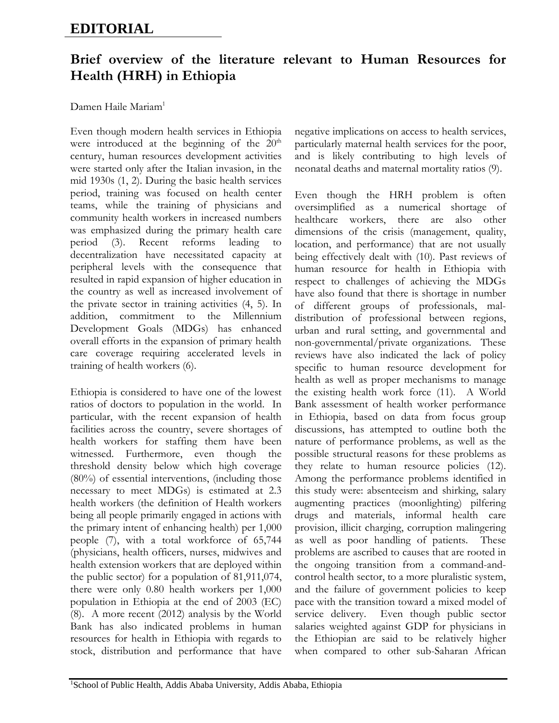## **EDITORIAL**

## **Brief overview of the literature relevant to Human Resources for Health (HRH) in Ethiopia**

## Damen Haile Mariam<sup>1</sup>

Even though modern health services in Ethiopia were introduced at the beginning of the  $20<sup>th</sup>$ century, human resources development activities were started only after the Italian invasion, in the mid 1930s (1, 2). During the basic health services period, training was focused on health center teams, while the training of physicians and community health workers in increased numbers was emphasized during the primary health care period (3). Recent reforms leading to decentralization have necessitated capacity at peripheral levels with the consequence that resulted in rapid expansion of higher education in the country as well as increased involvement of the private sector in training activities (4, 5). In addition, commitment to the Millennium Development Goals (MDGs) has enhanced overall efforts in the expansion of primary health care coverage requiring accelerated levels in training of health workers (6).

Ethiopia is considered to have one of the lowest ratios of doctors to population in the world. In particular, with the recent expansion of health facilities across the country, severe shortages of health workers for staffing them have been witnessed. Furthermore, even though the threshold density below which high coverage (80%) of essential interventions, (including those necessary to meet MDGs) is estimated at 2.3 health workers (the definition of Health workers being all people primarily engaged in actions with the primary intent of enhancing health) per 1,000 people (7), with a total workforce of 65,744 (physicians, health officers, nurses, midwives and health extension workers that are deployed within the public sector) for a population of 81,911,074, there were only 0.80 health workers per 1,000 population in Ethiopia at the end of 2003 (EC) (8). A more recent (2012) analysis by the World Bank has also indicated problems in human resources for health in Ethiopia with regards to stock, distribution and performance that have

negative implications on access to health services, particularly maternal health services for the poor, and is likely contributing to high levels of neonatal deaths and maternal mortality ratios (9).

Even though the HRH problem is often oversimplified as a numerical shortage of healthcare workers, there are also other dimensions of the crisis (management, quality, location, and performance) that are not usually being effectively dealt with (10). Past reviews of human resource for health in Ethiopia with respect to challenges of achieving the MDGs have also found that there is shortage in number of different groups of professionals, maldistribution of professional between regions, urban and rural setting, and governmental and non-governmental/private organizations. These reviews have also indicated the lack of policy specific to human resource development for health as well as proper mechanisms to manage the existing health work force (11). A World Bank assessment of health worker performance in Ethiopia, based on data from focus group discussions, has attempted to outline both the nature of performance problems, as well as the possible structural reasons for these problems as they relate to human resource policies (12). Among the performance problems identified in this study were: absenteeism and shirking, salary augmenting practices (moonlighting) pilfering drugs and materials, informal health care provision, illicit charging, corruption malingering as well as poor handling of patients. These problems are ascribed to causes that are rooted in the ongoing transition from a command-andcontrol health sector, to a more pluralistic system, and the failure of government policies to keep pace with the transition toward a mixed model of service delivery. Even though public sector salaries weighted against GDP for physicians in the Ethiopian are said to be relatively higher when compared to other sub-Saharan African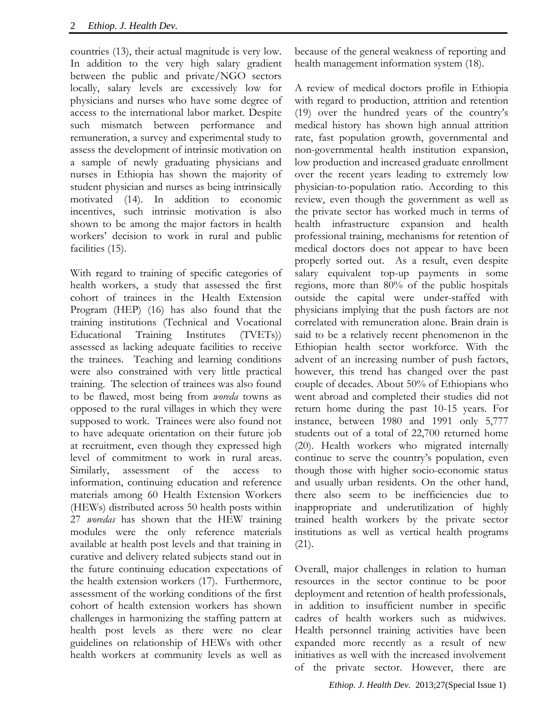countries (13), their actual magnitude is very low. In addition to the very high salary gradient between the public and private/NGO sectors locally, salary levels are excessively low for physicians and nurses who have some degree of access to the international labor market. Despite such mismatch between performance and remuneration, a survey and experimental study to assess the development of intrinsic motivation on a sample of newly graduating physicians and nurses in Ethiopia has shown the majority of student physician and nurses as being intrinsically motivated (14). In addition to economic incentives, such intrinsic motivation is also shown to be among the major factors in health workers' decision to work in rural and public facilities (15).

With regard to training of specific categories of health workers, a study that assessed the first cohort of trainees in the Health Extension Program (HEP) (16) has also found that the training institutions (Technical and Vocational Educational Training Institutes (TVETs)) assessed as lacking adequate facilities to receive the trainees. Teaching and learning conditions were also constrained with very little practical training. The selection of trainees was also found to be flawed, most being from *woreda* towns as opposed to the rural villages in which they were supposed to work. Trainees were also found not to have adequate orientation on their future job at recruitment, even though they expressed high level of commitment to work in rural areas. Similarly, assessment of the access to information, continuing education and reference materials among 60 Health Extension Workers (HEWs) distributed across 50 health posts within 27 *woredas* has shown that the HEW training modules were the only reference materials available at health post levels and that training in curative and delivery related subjects stand out in the future continuing education expectations of the health extension workers (17). Furthermore, assessment of the working conditions of the first cohort of health extension workers has shown challenges in harmonizing the staffing pattern at health post levels as there were no clear guidelines on relationship of HEWs with other health workers at community levels as well as

because of the general weakness of reporting and health management information system (18).

A review of medical doctors profile in Ethiopia with regard to production, attrition and retention (19) over the hundred years of the country's medical history has shown high annual attrition rate, fast population growth, governmental and non-governmental health institution expansion, low production and increased graduate enrollment over the recent years leading to extremely low physician-to-population ratio. According to this review, even though the government as well as the private sector has worked much in terms of health infrastructure expansion and health professional training, mechanisms for retention of medical doctors does not appear to have been properly sorted out. As a result, even despite salary equivalent top-up payments in some regions, more than 80% of the public hospitals outside the capital were under-staffed with physicians implying that the push factors are not correlated with remuneration alone. Brain drain is said to be a relatively recent phenomenon in the Ethiopian health sector workforce. With the advent of an increasing number of push factors, however, this trend has changed over the past couple of decades. About 50% of Ethiopians who went abroad and completed their studies did not return home during the past 10-15 years. For instance, between 1980 and 1991 only 5,777 students out of a total of 22,700 returned home (20). Health workers who migrated internally continue to serve the country's population, even though those with higher socio-economic status and usually urban residents. On the other hand, there also seem to be inefficiencies due to inappropriate and underutilization of highly trained health workers by the private sector institutions as well as vertical health programs (21).

Overall, major challenges in relation to human resources in the sector continue to be poor deployment and retention of health professionals, in addition to insufficient number in specific cadres of health workers such as midwives. Health personnel training activities have been expanded more recently as a result of new initiatives as well with the increased involvement of the private sector. However, there are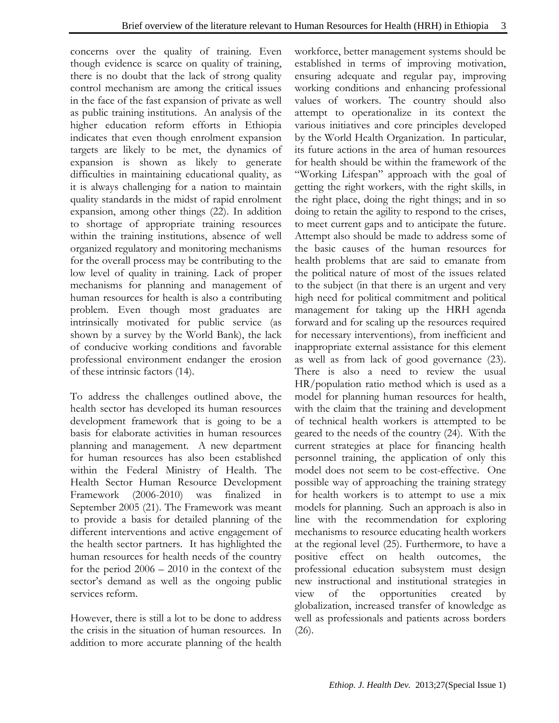concerns over the quality of training. Even though evidence is scarce on quality of training, there is no doubt that the lack of strong quality control mechanism are among the critical issues in the face of the fast expansion of private as well as public training institutions. An analysis of the higher education reform efforts in Ethiopia indicates that even though enrolment expansion targets are likely to be met, the dynamics of expansion is shown as likely to generate difficulties in maintaining educational quality, as it is always challenging for a nation to maintain quality standards in the midst of rapid enrolment expansion, among other things (22). In addition to shortage of appropriate training resources within the training institutions, absence of well organized regulatory and monitoring mechanisms for the overall process may be contributing to the low level of quality in training. Lack of proper mechanisms for planning and management of human resources for health is also a contributing problem. Even though most graduates are intrinsically motivated for public service (as shown by a survey by the World Bank), the lack of conducive working conditions and favorable professional environment endanger the erosion of these intrinsic factors (14).

To address the challenges outlined above, the health sector has developed its human resources development framework that is going to be a basis for elaborate activities in human resources planning and management. A new department for human resources has also been established within the Federal Ministry of Health. The Health Sector Human Resource Development Framework (2006-2010) was finalized in September 2005 (21). The Framework was meant to provide a basis for detailed planning of the different interventions and active engagement of the health sector partners. It has highlighted the human resources for health needs of the country for the period 2006 – 2010 in the context of the sector's demand as well as the ongoing public services reform.

However, there is still a lot to be done to address the crisis in the situation of human resources. In addition to more accurate planning of the health workforce, better management systems should be established in terms of improving motivation, ensuring adequate and regular pay, improving working conditions and enhancing professional values of workers. The country should also attempt to operationalize in its context the various initiatives and core principles developed by the World Health Organization. In particular, its future actions in the area of human resources for health should be within the framework of the "Working Lifespan" approach with the goal of getting the right workers, with the right skills, in the right place, doing the right things; and in so doing to retain the agility to respond to the crises, to meet current gaps and to anticipate the future. Attempt also should be made to address some of the basic causes of the human resources for health problems that are said to emanate from the political nature of most of the issues related to the subject (in that there is an urgent and very high need for political commitment and political management for taking up the HRH agenda forward and for scaling up the resources required for necessary interventions), from inefficient and inappropriate external assistance for this element as well as from lack of good governance (23). There is also a need to review the usual HR/population ratio method which is used as a model for planning human resources for health, with the claim that the training and development of technical health workers is attempted to be geared to the needs of the country (24). With the current strategies at place for financing health personnel training, the application of only this model does not seem to be cost-effective. One possible way of approaching the training strategy for health workers is to attempt to use a mix models for planning. Such an approach is also in line with the recommendation for exploring mechanisms to resource educating health workers at the regional level (25). Furthermore, to have a positive effect on health outcomes, the professional education subsystem must design new instructional and institutional strategies in view of the opportunities created by globalization, increased transfer of knowledge as well as professionals and patients across borders (26).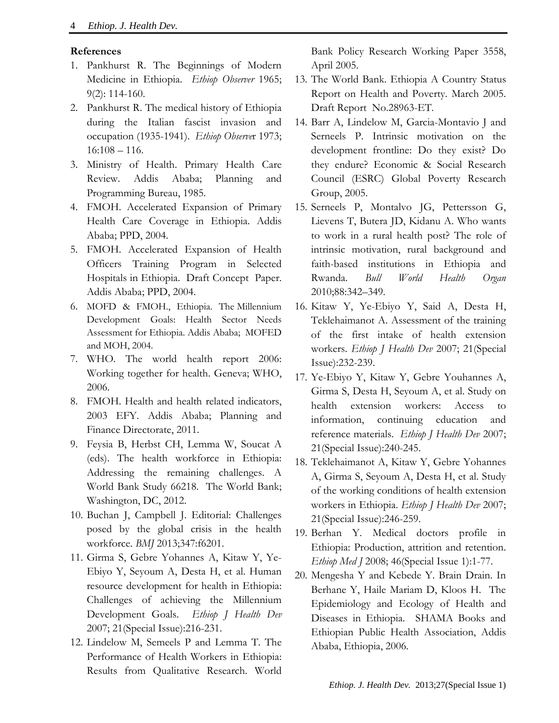## **References**

- 1. Pankhurst R. The Beginnings of Modern Medicine in Ethiopia. *Ethiop Observer* 1965; 9(2): 114-160.
- 2. Pankhurst R. The medical history of Ethiopia during the Italian fascist invasion and occupation (1935-1941). *Ethiop Observe*r 1973; 16:108 – 116.
- 3. Ministry of Health. Primary Health Care Review. Addis Ababa; Planning and Programming Bureau, 1985.
- 4. FMOH. Accelerated Expansion of Primary Health Care Coverage in Ethiopia. Addis Ababa; PPD, 2004.
- 5. FMOH. Accelerated Expansion of Health Officers Training Program in Selected Hospitals in Ethiopia. Draft Concept Paper. Addis Ababa; PPD, 2004.
- 6. MOFD & FMOH., Ethiopia. The Millennium Development Goals: Health Sector Needs Assessment for Ethiopia. Addis Ababa; MOFED and MOH, 2004.
- 7. WHO. The world health report 2006: Working together for health. Geneva; WHO, 2006.
- 8. FMOH. Health and health related indicators, 2003 EFY. Addis Ababa; Planning and Finance Directorate, 2011.
- 9. Feysia B, Herbst CH, Lemma W, Soucat A (eds). The health workforce in Ethiopia: Addressing the remaining challenges. A World Bank Study 66218. The World Bank; Washington, DC, 2012.
- 10. Buchan J, Campbell J. Editorial: Challenges posed by the global crisis in the health workforce. *BMJ* 2013;347:f6201.
- 11. Girma S, Gebre Yohannes A, Kitaw Y, Ye-Ebiyo Y, Seyoum A, Desta H, et al. Human resource development for health in Ethiopia: Challenges of achieving the Millennium Development Goals. *Ethiop J Health Dev*  2007; 21(Special Issue):216-231.
- 12. Lindelow M, Semeels P and Lemma T. The Performance of Health Workers in Ethiopia: Results from Qualitative Research. World

Bank Policy Research Working Paper 3558, April 2005.

- 13. The World Bank. Ethiopia A Country Status Report on Health and Poverty. March 2005. Draft Report No.28963-ET.
- 14. Barr A, Lindelow M, Garcia-Montavio J and Serneels P. Intrinsic motivation on the development frontline: Do they exist? Do they endure? Economic & Social Research Council (ESRC) Global Poverty Research Group, 2005.
- 15. Serneels P, Montalvo JG, Pettersson G, Lievens T, Butera JD, Kidanu A. Who wants to work in a rural health post? The role of intrinsic motivation, rural background and faith-based institutions in Ethiopia and Rwanda. *Bull World Health Organ*  2010;88:342–349.
- 16. Kitaw Y, Ye-Ebiyo Y, Said A, Desta H, Teklehaimanot A. Assessment of the training of the first intake of health extension workers. *Ethiop J Health Dev* 2007; 21(Special Issue):232-239.
- 17. Ye-Ebiyo Y, Kitaw Y, Gebre Youhannes A, Girma S, Desta H, Seyoum A, et al. Study on health extension workers: Access to information, continuing education and reference materials. *Ethiop J Health Dev* 2007; 21(Special Issue):240-245.
- 18. Teklehaimanot A, Kitaw Y, Gebre Yohannes A, Girma S, Seyoum A, Desta H, et al. Study of the working conditions of health extension workers in Ethiopia. *Ethiop J Health Dev* 2007; 21(Special Issue):246-259.
- 19. Berhan Y. Medical doctors profile in Ethiopia: Production, attrition and retention. *Ethiop Med J* 2008; 46(Special Issue 1):1-77.
- 20. Mengesha Y and Kebede Y. Brain Drain. In Berhane Y, Haile Mariam D, Kloos H. The Epidemiology and Ecology of Health and Diseases in Ethiopia. SHAMA Books and Ethiopian Public Health Association, Addis Ababa, Ethiopia, 2006.